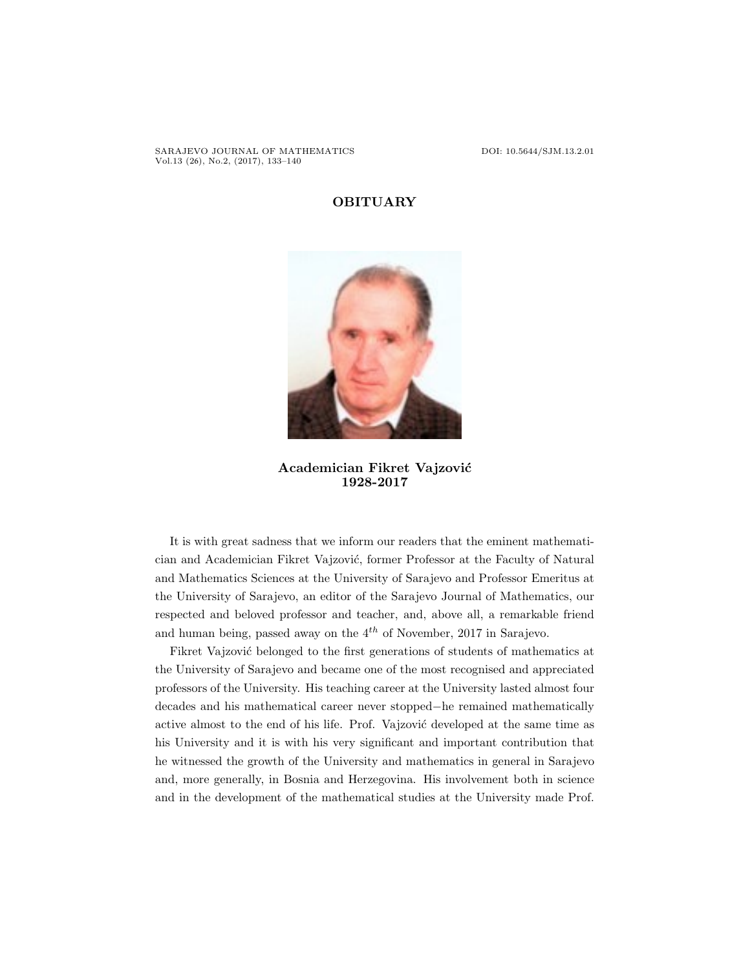SARAJEVO JOURNAL OF MATHEMATICS DOI: 10.5644/SJM.13.2.01 Vol.13 (26), No.2, (2017), 133–140

## OBITUARY



Academician Fikret Vajzović 1928-2017

It is with great sadness that we inform our readers that the eminent mathematician and Academician Fikret Vajzović, former Professor at the Faculty of Natural and Mathematics Sciences at the University of Sarajevo and Professor Emeritus at the University of Sarajevo, an editor of the Sarajevo Journal of Mathematics, our respected and beloved professor and teacher, and, above all, a remarkable friend and human being, passed away on the  $4^{th}$  of November, 2017 in Sarajevo.

Fikret Vajzović belonged to the first generations of students of mathematics at the University of Sarajevo and became one of the most recognised and appreciated professors of the University. His teaching career at the University lasted almost four decades and his mathematical career never stopped−he remained mathematically active almost to the end of his life. Prof. Vajzović developed at the same time as his University and it is with his very significant and important contribution that he witnessed the growth of the University and mathematics in general in Sarajevo and, more generally, in Bosnia and Herzegovina. His involvement both in science and in the development of the mathematical studies at the University made Prof.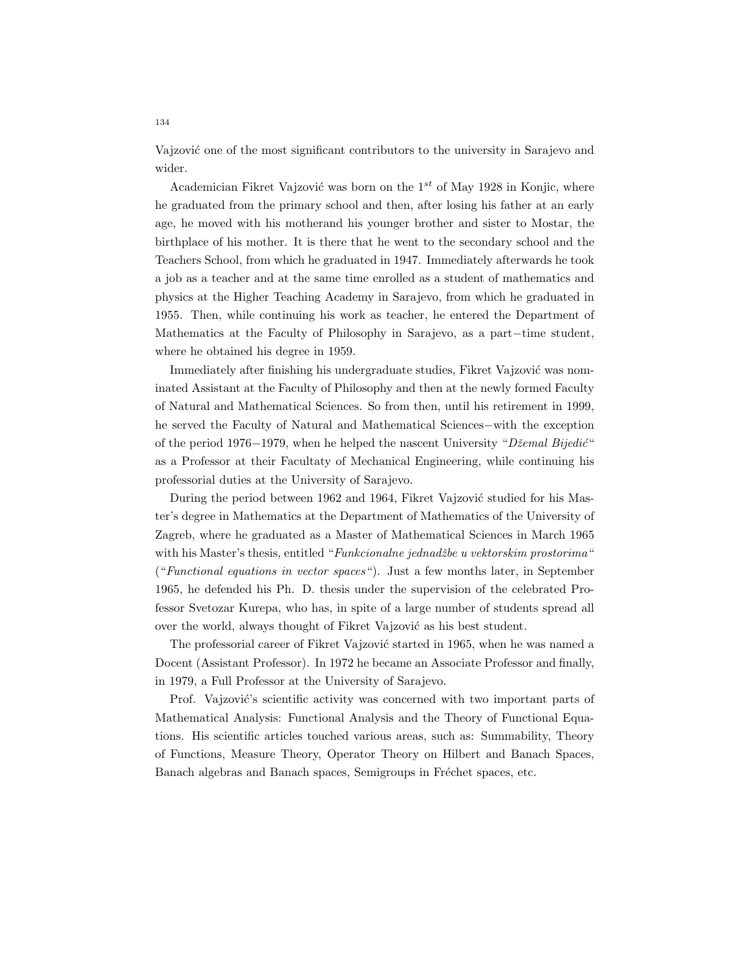Vajzović one of the most significant contributors to the university in Sarajevo and wider.

Academician Fikret Vajzović was born on the  $1^{st}$  of May 1928 in Konjic, where he graduated from the primary school and then, after losing his father at an early age, he moved with his motherand his younger brother and sister to Mostar, the birthplace of his mother. It is there that he went to the secondary school and the Teachers School, from which he graduated in 1947. Immediately afterwards he took a job as a teacher and at the same time enrolled as a student of mathematics and physics at the Higher Teaching Academy in Sarajevo, from which he graduated in 1955. Then, while continuing his work as teacher, he entered the Department of Mathematics at the Faculty of Philosophy in Sarajevo, as a part−time student, where he obtained his degree in 1959.

Immediately after finishing his undergraduate studies, Fikret Vajzović was nominated Assistant at the Faculty of Philosophy and then at the newly formed Faculty of Natural and Mathematical Sciences. So from then, until his retirement in 1999, he served the Faculty of Natural and Mathematical Sciences−with the exception of the period 1976−1979, when he helped the nascent University "Džemal Bijedić" as a Professor at their Facultaty of Mechanical Engineering, while continuing his professorial duties at the University of Sarajevo.

During the period between 1962 and 1964, Fikret Vajzović studied for his Master's degree in Mathematics at the Department of Mathematics of the University of Zagreb, where he graduated as a Master of Mathematical Sciences in March 1965 with his Master's thesis, entitled "Funkcionalne jednadžbe u vektorskim prostorima" ("Functional equations in vector spaces"). Just a few months later, in September 1965, he defended his Ph. D. thesis under the supervision of the celebrated Professor Svetozar Kurepa, who has, in spite of a large number of students spread all over the world, always thought of Fikret Vajzović as his best student.

The professorial career of Fikret Vajzović started in 1965, when he was named a Docent (Assistant Professor). In 1972 he became an Associate Professor and finally, in 1979, a Full Professor at the University of Sarajevo.

Prof. Vajzović's scientific activity was concerned with two important parts of Mathematical Analysis: Functional Analysis and the Theory of Functional Equations. His scientific articles touched various areas, such as: Summability, Theory of Functions, Measure Theory, Operator Theory on Hilbert and Banach Spaces, Banach algebras and Banach spaces, Semigroups in Fréchet spaces, etc.

134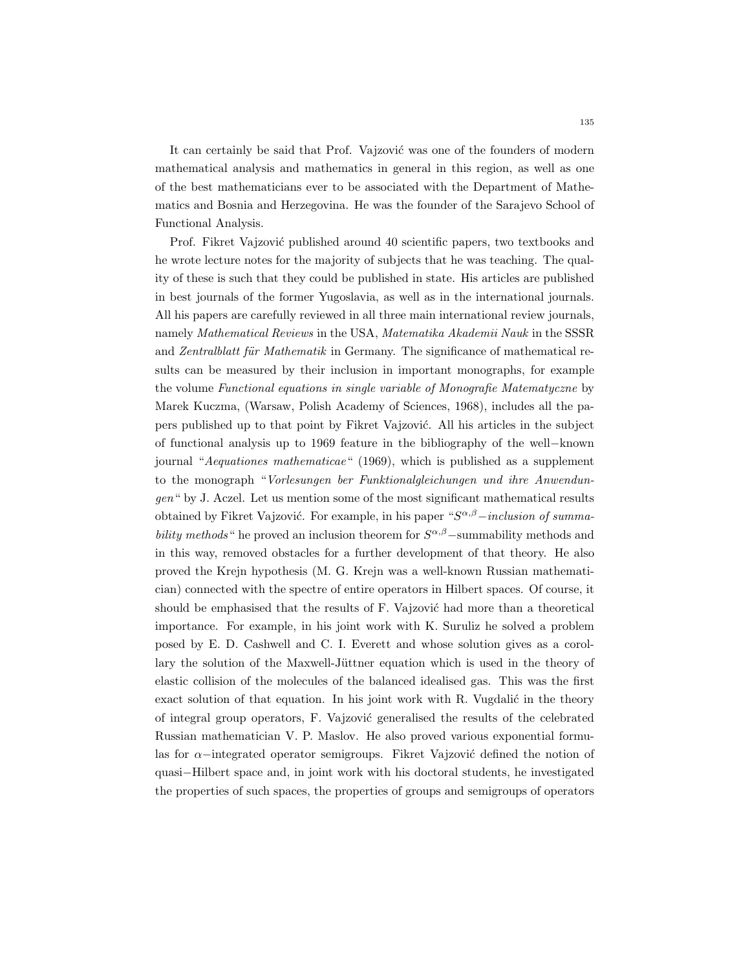It can certainly be said that Prof. Vajzović was one of the founders of modern mathematical analysis and mathematics in general in this region, as well as one of the best mathematicians ever to be associated with the Department of Mathematics and Bosnia and Herzegovina. He was the founder of the Sarajevo School of Functional Analysis.

Prof. Fikret Vajzović published around 40 scientific papers, two textbooks and he wrote lecture notes for the majority of subjects that he was teaching. The quality of these is such that they could be published in state. His articles are published in best journals of the former Yugoslavia, as well as in the international journals. All his papers are carefully reviewed in all three main international review journals, namely Mathematical Reviews in the USA, Matematika Akademii Nauk in the SSSR and Zentralblatt für Mathematik in Germany. The significance of mathematical results can be measured by their inclusion in important monographs, for example the volume Functional equations in single variable of Monografie Matematyczne by Marek Kuczma, (Warsaw, Polish Academy of Sciences, 1968), includes all the papers published up to that point by Fikret Vajzović. All his articles in the subject of functional analysis up to 1969 feature in the bibliography of the well−known journal "Aequationes mathematicae" (1969), which is published as a supplement to the monograph "Vorlesungen ber Funktionalgleichungen und ihre Anwendungen" by J. Aczel. Let us mention some of the most significant mathematical results obtained by Fikret Vajzović. For example, in his paper " $S^{\alpha,\beta}-inclusion$  of summability methods " he proved an inclusion theorem for  $S^{\alpha,\beta}$  –summability methods and in this way, removed obstacles for a further development of that theory. He also proved the Krejn hypothesis (M. G. Krejn was a well-known Russian mathematician) connected with the spectre of entire operators in Hilbert spaces. Of course, it should be emphasised that the results of  $F$ . Vajzović had more than a theoretical importance. For example, in his joint work with K. Suruliz he solved a problem posed by E. D. Cashwell and C. I. Everett and whose solution gives as a corollary the solution of the Maxwell-Jüttner equation which is used in the theory of elastic collision of the molecules of the balanced idealised gas. This was the first exact solution of that equation. In his joint work with R. Vugdalić in the theory of integral group operators, F. Vajzovi´c generalised the results of the celebrated Russian mathematician V. P. Maslov. He also proved various exponential formulas for  $\alpha$ −integrated operator semigroups. Fikret Vajzović defined the notion of quasi−Hilbert space and, in joint work with his doctoral students, he investigated the properties of such spaces, the properties of groups and semigroups of operators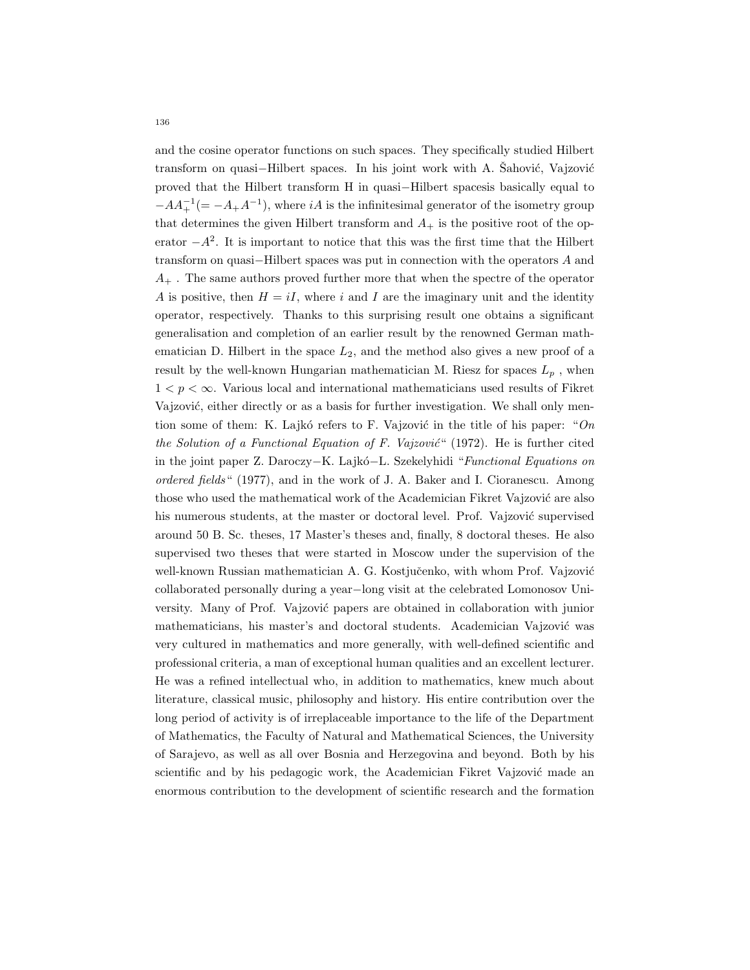and the cosine operator functions on such spaces. They specifically studied Hilbert transform on quasi−Hilbert spaces. In his joint work with A. Sahović, Vajzović proved that the Hilbert transform H in quasi−Hilbert spacesis basically equal to  $-AA_{+}^{-1}(=-A_{+}A^{-1}),$  where  $iA$  is the infinitesimal generator of the isometry group that determines the given Hilbert transform and  $A_+$  is the positive root of the operator  $-A^2$ . It is important to notice that this was the first time that the Hilbert transform on quasi−Hilbert spaces was put in connection with the operators A and  $A_{+}$ . The same authors proved further more that when the spectre of the operator A is positive, then  $H = iI$ , where i and I are the imaginary unit and the identity operator, respectively. Thanks to this surprising result one obtains a significant generalisation and completion of an earlier result by the renowned German mathematician D. Hilbert in the space  $L_2$ , and the method also gives a new proof of a result by the well-known Hungarian mathematician M. Riesz for spaces  $L_p$ , when  $1 < p < \infty$ . Various local and international mathematicians used results of Fikret Vajzović, either directly or as a basis for further investigation. We shall only mention some of them: K. Lajkó refers to F. Vajzović in the title of his paper: " $On$ the Solution of a Functional Equation of F. Vajzović" (1972). He is further cited in the joint paper Z. Daroczy−K. Lajk´o−L. Szekelyhidi "Functional Equations on ordered fields" (1977), and in the work of J. A. Baker and I. Cioranescu. Among those who used the mathematical work of the Academician Fikret Vajzović are also his numerous students, at the master or doctoral level. Prof. Vajzović supervised around 50 B. Sc. theses, 17 Master's theses and, finally, 8 doctoral theses. He also supervised two theses that were started in Moscow under the supervision of the well-known Russian mathematician A. G. Kostjučenko, with whom Prof. Vajzović collaborated personally during a year−long visit at the celebrated Lomonosov University. Many of Prof. Vajzović papers are obtained in collaboration with junior mathematicians, his master's and doctoral students. Academician Vajzović was very cultured in mathematics and more generally, with well-defined scientific and professional criteria, a man of exceptional human qualities and an excellent lecturer. He was a refined intellectual who, in addition to mathematics, knew much about literature, classical music, philosophy and history. His entire contribution over the long period of activity is of irreplaceable importance to the life of the Department of Mathematics, the Faculty of Natural and Mathematical Sciences, the University of Sarajevo, as well as all over Bosnia and Herzegovina and beyond. Both by his scientific and by his pedagogic work, the Academician Fikret Vajzović made an enormous contribution to the development of scientific research and the formation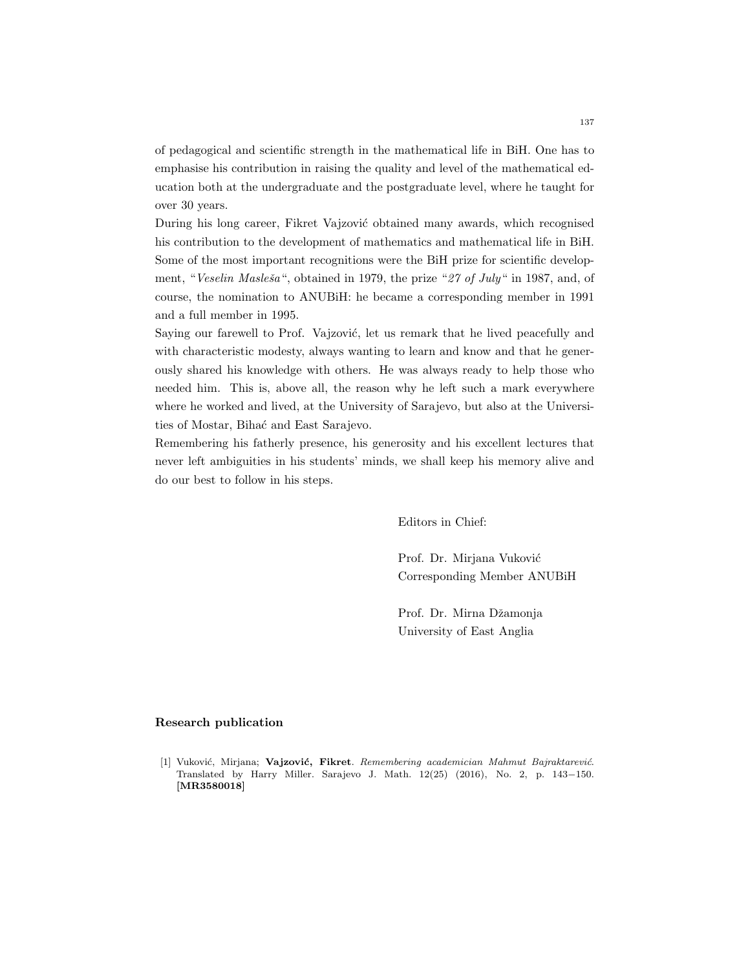of pedagogical and scientific strength in the mathematical life in BiH. One has to emphasise his contribution in raising the quality and level of the mathematical education both at the undergraduate and the postgraduate level, where he taught for over 30 years.

During his long career, Fikret Vajzović obtained many awards, which recognised his contribution to the development of mathematics and mathematical life in BiH. Some of the most important recognitions were the BiH prize for scientific development, "Veselin Masleša", obtained in 1979, the prize "27 of July" in 1987, and, of course, the nomination to ANUBiH: he became a corresponding member in 1991 and a full member in 1995.

Saying our farewell to Prof. Vajzović, let us remark that he lived peacefully and with characteristic modesty, always wanting to learn and know and that he generously shared his knowledge with others. He was always ready to help those who needed him. This is, above all, the reason why he left such a mark everywhere where he worked and lived, at the University of Sarajevo, but also at the Universities of Mostar, Bihać and East Sarajevo.

Remembering his fatherly presence, his generosity and his excellent lectures that never left ambiguities in his students' minds, we shall keep his memory alive and do our best to follow in his steps.

Editors in Chief:

Prof. Dr. Mirjana Vuković Corresponding Member ANUBiH

Prof. Dr. Mirna Džamonja University of East Anglia

## Research publication

[1] Vuković, Mirjana; Vajzović, Fikret. Remembering academician Mahmut Bajraktarević. Translated by Harry Miller. Sarajevo J. Math. 12(25) (2016), No. 2, p. 143−150. [MR3580018]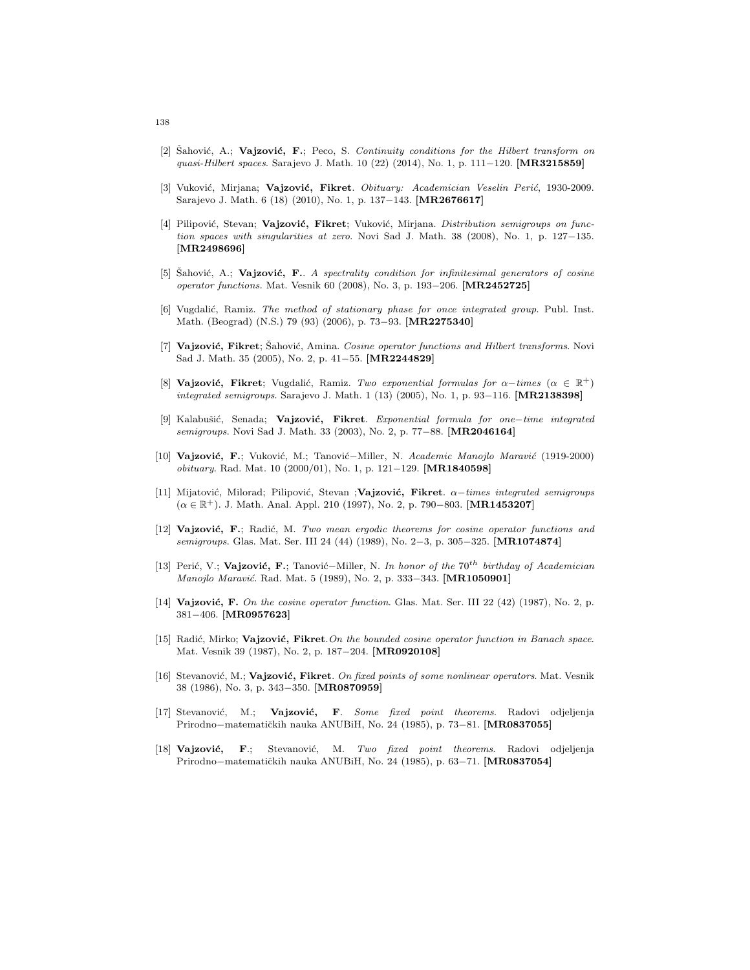- [2] Sahović, A.; **Vajzović, F.**; Peco, S. Continuity conditions for the Hilbert transform on quasi-Hilbert spaces. Sarajevo J. Math. 10 (22) (2014), No. 1, p. 111−120. [MR3215859]
- [3] Vuković, Mirjana; Vajzović, Fikret. Obituary: Academician Veselin Perić, 1930-2009. Sarajevo J. Math. 6 (18) (2010), No. 1, p. 137-143. [MR2676617]
- [4] Pilipović, Stevan; Vajzović, Fikret; Vuković, Mirjana. Distribution semigroups on function spaces with singularities at zero. Novi Sad J. Math. 38 (2008), No. 1, p. 127−135. [MR2498696]
- [5] Sahović, A.; **Vajzović, F.**. A spectrality condition for infinitesimal generators of cosine operator functions. Mat. Vesnik 60 (2008), No. 3, p. 193−206. [MR2452725]
- [6] Vugdalić, Ramiz. The method of stationary phase for once integrated group. Publ. Inst. Math. (Beograd) (N.S.) 79 (93) (2006), p. 73−93. [MR2275340]
- [7] Vajzović, Fikret; Šahović, Amina. Cosine operator functions and Hilbert transforms. Novi Sad J. Math. 35 (2005), No. 2, p. 41−55. [MR2244829]
- [8] Vajzović, Fikret; Vugdalić, Ramiz. Two exponential formulas for  $\alpha$ -times ( $\alpha \in \mathbb{R}^+$ ) integrated semigroups. Sarajevo J. Math. 1 (13) (2005), No. 1, p. 93−116. [MR2138398]
- [9] Kalabušić, Senada; Vajzović, Fikret. Exponential formula for one−time integrated semigroups. Novi Sad J. Math. 33 (2003), No. 2, p. 77–88. [MR2046164]
- [10] Vajzović, F.; Vuković, M.; Tanović–Miller, N. Academic Manojlo Maravić (1919-2000) obituary. Rad. Mat. 10 (2000/01), No. 1, p. 121−129. [MR1840598]
- [11] Mijatović, Milorad; Pilipović, Stevan ;Vajzović, Fikret.  $\alpha$ -times integrated semigroups  $(\alpha \in \mathbb{R}^+)$ . J. Math. Anal. Appl. 210 (1997), No. 2, p. 790−803. [MR1453207]
- [12] Vajzović, F.; Radić, M. Two mean ergodic theorems for cosine operator functions and semigroups. Glas. Mat. Ser. III 24 (44) (1989), No. 2–3, p. 305–325. [MR1074874]
- [13] Perić, V.; Vajzović, F.; Tanović–Miller, N. In honor of the 70<sup>th</sup> birthday of Academician Manojlo Maravić. Rad. Mat. 5 (1989), No. 2, p. 333-343. [MR1050901]
- [14] Vajzović, F. On the cosine operator function. Glas. Mat. Ser. III 22 (42) (1987), No. 2, p. 381−406. [MR0957623]
- [15] Radić, Mirko; Vajzović, Fikret. On the bounded cosine operator function in Banach space. Mat. Vesnik 39 (1987), No. 2, p. 187−204. [MR0920108]
- [16] Stevanović, M.; Vajzović, Fikret. On fixed points of some nonlinear operators. Mat. Vesnik 38 (1986), No. 3, p. 343−350. [MR0870959]
- [17] Stevanović, M.; Vajzović, F. Some fixed point theorems. Radovi odjeljenja Prirodno−matematičkih nauka ANUBiH, No. 24 (1985), p. 73–81. [MR0837055]
- [18] Vajzović, F.; Stevanović, M. Two fixed point theorems. Radovi odjeljenja Prirodno−matematičkih nauka ANUBiH, No. 24 (1985), p. 63-71. [MR0837054]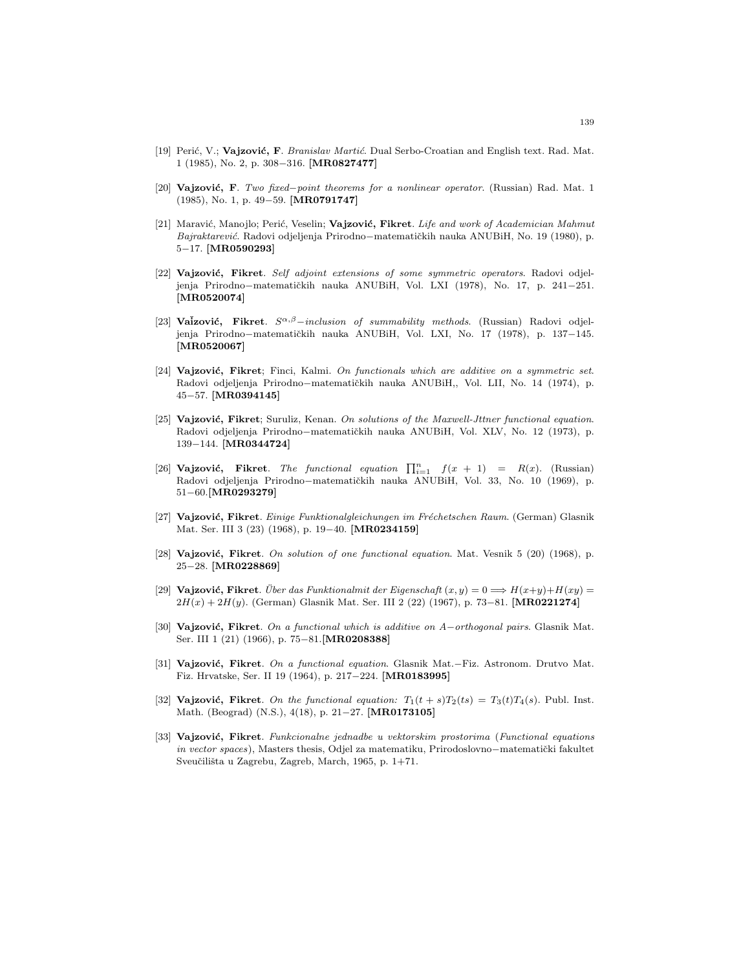- [19] Perić, V.; Vajzović, F. Branislav Martić. Dual Serbo-Croatian and English text. Rad. Mat. 1 (1985), No. 2, p. 308−316. [MR0827477]
- [20] **Vajzović, F**. Two fixed–point theorems for a nonlinear operator. (Russian) Rad. Mat. 1 (1985), No. 1, p. 49−59. [MR0791747]
- [21] Maravić, Manojlo; Perić, Veselin; Vajzović, Fikret. Life and work of Academician Mahmut Bajraktarević. Radovi odjeljenja Prirodno−matematičkih nauka ANUBiH, No. 19 (1980), p. 5−17. [MR0590293]
- [22] Vajzović, Fikret. Self adjoint extensions of some symmetric operators. Radovi odjeljenja Prirodno−matematičkih nauka ANUBiH, Vol. LXI (1978), No. 17, p. 241−251. [MR0520074]
- [23] Vaizović, Fikret.  $S^{\alpha,\beta}-inclusion$  of summability methods. (Russian) Radovi odjeljenja Prirodno−matematičkih nauka ANUBiH, Vol. LXI, No. 17 (1978), p. 137-145. [MR0520067]
- [24] Vajzović, Fikret; Finci, Kalmi. On functionals which are additive on a symmetric set. Radovi odjeljenja Prirodno−matematičkih nauka ANUBiH,, Vol. LII, No. 14 (1974), p. 45−57. [MR0394145]
- [25] Vajzović, Fikret; Suruliz, Kenan. On solutions of the Maxwell-Jttner functional equation. Radovi odjeljenja Prirodno−matematičkih nauka ANUBiH, Vol. XLV, No. 12 (1973), p. 139−144. [MR0344724]
- [26] Vajzović, Fikret. The functional equation  $\prod_{i=1}^{n} f(x + 1) = R(x)$ . (Russian) Radovi odjeljenja Prirodno−matematičkih nauka ANUBiH, Vol. 33, No. 10 (1969), p. 51−60.[MR0293279]
- [27] Vajzović, Fikret. Einige Funktionalgleichungen im Fréchetschen Raum. (German) Glasnik Mat. Ser. III 3 (23) (1968), p. 19−40. [MR0234159]
- [28] Vajzović, Fikret. On solution of one functional equation. Mat. Vesnik  $5$  (20) (1968), p. 25−28. [MR0228869]
- [29] **Vajzović, Fikret**. Über das Funktionalmit der Eigenschaft  $(x, y) = 0 \Longrightarrow H(x+y)+H(xy) = 0$  $2H(x) + 2H(y)$ . (German) Glasnik Mat. Ser. III 2 (22) (1967), p. 73–81. [MR0221274]
- [30] Vajzović, Fikret. On a functional which is additive on A−orthogonal pairs. Glasnik Mat. Ser. III 1 (21) (1966), p. 75−81.[MR0208388]
- [31] Vajzović, Fikret. On a functional equation. Glasnik Mat.−Fiz. Astronom. Drutvo Mat. Fiz. Hrvatske, Ser. II 19 (1964), p. 217−224. [MR0183995]
- [32] Vajzović, Fikret. On the functional equation:  $T_1(t + s)T_2(ts) = T_3(t)T_4(s)$ . Publ. Inst. Math. (Beograd) (N.S.), 4(18), p. 21−27. [MR0173105]
- [33] Vajzović, Fikret. Funkcionalne jednadbe u vektorskim prostorima (Functional equations in vector spaces), Masters thesis, Odjel za matematiku, Prirodoslovno−matematički fakultet Sveučilišta u Zagrebu, Zagreb, March, 1965, p. 1+71.